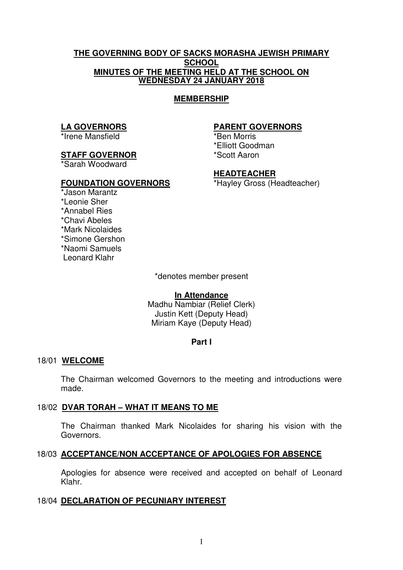#### **THE GOVERNING BODY OF SACKS MORASHA JEWISH PRIMARY SCHOOL MINUTES OF THE MEETING HELD AT THE SCHOOL ON WEDNESDAY 24 JANUARY 2018**

#### **MEMBERSHIP**

#### **LA GOVERNORS**

\*Irene Mansfield

#### **STAFF GOVERNOR**

\*Sarah Woodward

#### **FOUNDATION GOVERNORS**

#### **PARENT GOVERNORS**

\*Ben Morris \*Elliott Goodman \*Scott Aaron

### **HEADTEACHER**

\*Hayley Gross (Headteacher)

\*Jason Marantz \*Leonie Sher \*Annabel Ries \*Chavi Abeles \*Mark Nicolaides \*Simone Gershon \*Naomi Samuels Leonard Klahr

\*denotes member present

#### **In Attendance**

Madhu Nambiar (Relief Clerk) Justin Kett (Deputy Head) Miriam Kaye (Deputy Head)

### **Part I**

### 18/01 **WELCOME**

The Chairman welcomed Governors to the meeting and introductions were made.

### 18/02 **DVAR TORAH – WHAT IT MEANS TO ME**

 The Chairman thanked Mark Nicolaides for sharing his vision with the Governors.

# 18/03 **ACCEPTANCE/NON ACCEPTANCE OF APOLOGIES FOR ABSENCE**

Apologies for absence were received and accepted on behalf of Leonard Klahr.

## 18/04 **DECLARATION OF PECUNIARY INTEREST**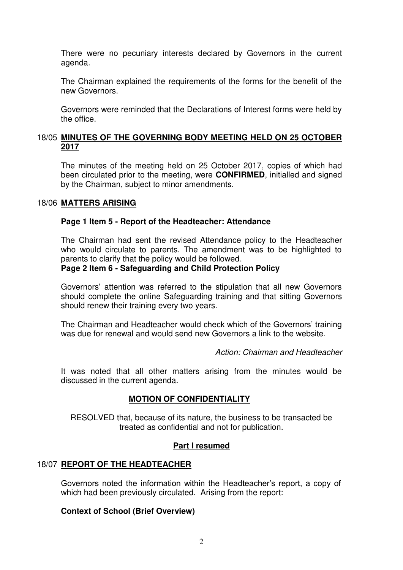There were no pecuniary interests declared by Governors in the current agenda.

The Chairman explained the requirements of the forms for the benefit of the new Governors.

Governors were reminded that the Declarations of Interest forms were held by the office.

## 18/05 **MINUTES OF THE GOVERNING BODY MEETING HELD ON 25 OCTOBER 2017**

The minutes of the meeting held on 25 October 2017, copies of which had been circulated prior to the meeting, were **CONFIRMED**, initialled and signed by the Chairman, subject to minor amendments.

#### 18/06 **MATTERS ARISING**

#### **Page 1 Item 5 - Report of the Headteacher: Attendance**

The Chairman had sent the revised Attendance policy to the Headteacher who would circulate to parents. The amendment was to be highlighted to parents to clarify that the policy would be followed.

## **Page 2 Item 6 - Safeguarding and Child Protection Policy**

Governors' attention was referred to the stipulation that all new Governors should complete the online Safeguarding training and that sitting Governors should renew their training every two years.

The Chairman and Headteacher would check which of the Governors' training was due for renewal and would send new Governors a link to the website.

*Action: Chairman and Headteacher*

It was noted that all other matters arising from the minutes would be discussed in the current agenda.

# **MOTION OF CONFIDENTIALITY**

RESOLVED that, because of its nature, the business to be transacted be treated as confidential and not for publication.

## **Part I resumed**

### 18/07 **REPORT OF THE HEADTEACHER**

Governors noted the information within the Headteacher's report, a copy of which had been previously circulated. Arising from the report:

### **Context of School (Brief Overview)**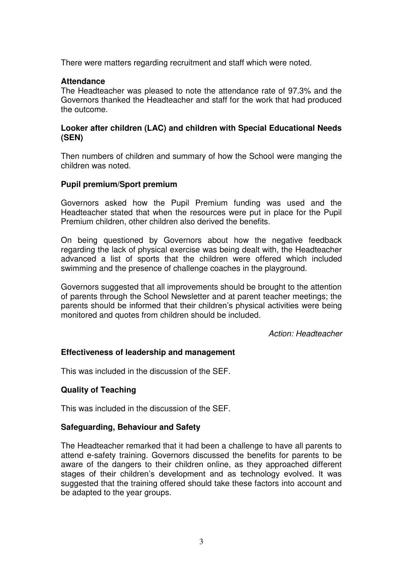There were matters regarding recruitment and staff which were noted.

#### **Attendance**

The Headteacher was pleased to note the attendance rate of 97.3% and the Governors thanked the Headteacher and staff for the work that had produced the outcome.

#### **Looker after children (LAC) and children with Special Educational Needs (SEN)**

Then numbers of children and summary of how the School were manging the children was noted.

#### **Pupil premium/Sport premium**

Governors asked how the Pupil Premium funding was used and the Headteacher stated that when the resources were put in place for the Pupil Premium children, other children also derived the benefits.

On being questioned by Governors about how the negative feedback regarding the lack of physical exercise was being dealt with, the Headteacher advanced a list of sports that the children were offered which included swimming and the presence of challenge coaches in the playground.

Governors suggested that all improvements should be brought to the attention of parents through the School Newsletter and at parent teacher meetings; the parents should be informed that their children's physical activities were being monitored and quotes from children should be included.

*Action: Headteacher* 

### **Effectiveness of leadership and management**

This was included in the discussion of the SEF.

### **Quality of Teaching**

This was included in the discussion of the SEF.

#### **Safeguarding, Behaviour and Safety**

 The Headteacher remarked that it had been a challenge to have all parents to attend e-safety training. Governors discussed the benefits for parents to be aware of the dangers to their children online, as they approached different stages of their children's development and as technology evolved. It was suggested that the training offered should take these factors into account and be adapted to the year groups.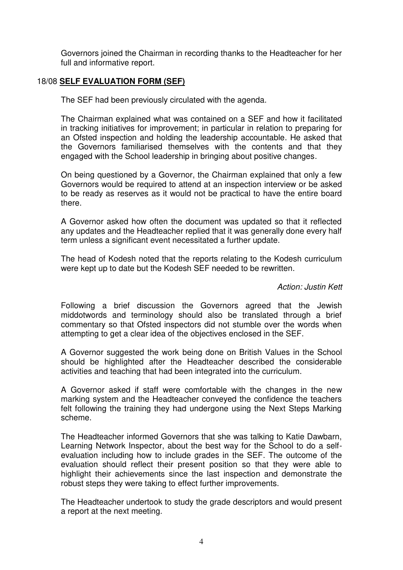Governors joined the Chairman in recording thanks to the Headteacher for her full and informative report.

## 18/08 **SELF EVALUATION FORM (SEF)**

The SEF had been previously circulated with the agenda.

The Chairman explained what was contained on a SEF and how it facilitated in tracking initiatives for improvement; in particular in relation to preparing for an Ofsted inspection and holding the leadership accountable. He asked that the Governors familiarised themselves with the contents and that they engaged with the School leadership in bringing about positive changes.

On being questioned by a Governor, the Chairman explained that only a few Governors would be required to attend at an inspection interview or be asked to be ready as reserves as it would not be practical to have the entire board there.

 A Governor asked how often the document was updated so that it reflected any updates and the Headteacher replied that it was generally done every half term unless a significant event necessitated a further update.

 The head of Kodesh noted that the reports relating to the Kodesh curriculum were kept up to date but the Kodesh SEF needed to be rewritten.

#### *Action: Justin Kett*

 Following a brief discussion the Governors agreed that the Jewish middotwords and terminology should also be translated through a brief commentary so that Ofsted inspectors did not stumble over the words when attempting to get a clear idea of the objectives enclosed in the SEF.

 A Governor suggested the work being done on British Values in the School should be highlighted after the Headteacher described the considerable activities and teaching that had been integrated into the curriculum.

 A Governor asked if staff were comfortable with the changes in the new marking system and the Headteacher conveyed the confidence the teachers felt following the training they had undergone using the Next Steps Marking scheme.

 The Headteacher informed Governors that she was talking to Katie Dawbarn, Learning Network Inspector, about the best way for the School to do a selfevaluation including how to include grades in the SEF. The outcome of the evaluation should reflect their present position so that they were able to highlight their achievements since the last inspection and demonstrate the robust steps they were taking to effect further improvements.

 The Headteacher undertook to study the grade descriptors and would present a report at the next meeting.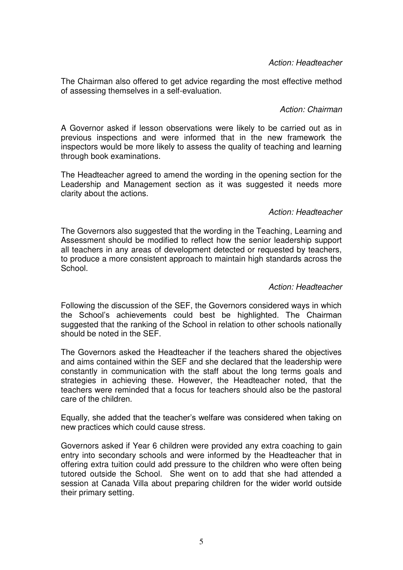*Action: Headteacher* 

 The Chairman also offered to get advice regarding the most effective method of assessing themselves in a self-evaluation.

*Action: Chairman* 

 A Governor asked if lesson observations were likely to be carried out as in previous inspections and were informed that in the new framework the inspectors would be more likely to assess the quality of teaching and learning through book examinations.

 The Headteacher agreed to amend the wording in the opening section for the Leadership and Management section as it was suggested it needs more clarity about the actions.

### *Action: Headteacher*

 The Governors also suggested that the wording in the Teaching, Learning and Assessment should be modified to reflect how the senior leadership support all teachers in any areas of development detected or requested by teachers, to produce a more consistent approach to maintain high standards across the School.

#### *Action: Headteacher*

 Following the discussion of the SEF, the Governors considered ways in which the School's achievements could best be highlighted. The Chairman suggested that the ranking of the School in relation to other schools nationally should be noted in the SEF.

 The Governors asked the Headteacher if the teachers shared the objectives and aims contained within the SEF and she declared that the leadership were constantly in communication with the staff about the long terms goals and strategies in achieving these. However, the Headteacher noted, that the teachers were reminded that a focus for teachers should also be the pastoral care of the children.

Equally, she added that the teacher's welfare was considered when taking on new practices which could cause stress.

Governors asked if Year 6 children were provided any extra coaching to gain entry into secondary schools and were informed by the Headteacher that in offering extra tuition could add pressure to the children who were often being tutored outside the School. She went on to add that she had attended a session at Canada Villa about preparing children for the wider world outside their primary setting.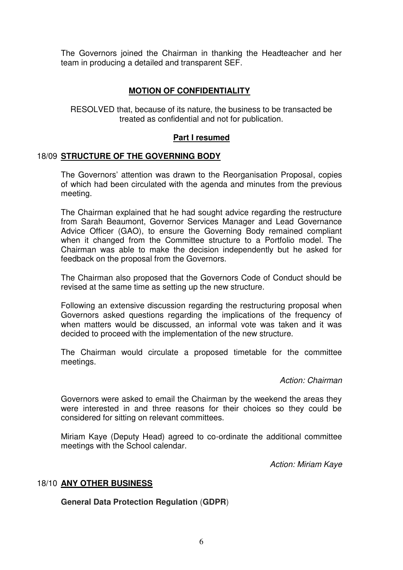The Governors joined the Chairman in thanking the Headteacher and her team in producing a detailed and transparent SEF.

# **MOTION OF CONFIDENTIALITY**

RESOLVED that, because of its nature, the business to be transacted be treated as confidential and not for publication.

# **Part I resumed**

## 18/09 **STRUCTURE OF THE GOVERNING BODY**

 The Governors' attention was drawn to the Reorganisation Proposal, copies of which had been circulated with the agenda and minutes from the previous meeting.

 The Chairman explained that he had sought advice regarding the restructure from Sarah Beaumont, Governor Services Manager and Lead Governance Advice Officer (GAO), to ensure the Governing Body remained compliant when it changed from the Committee structure to a Portfolio model. The Chairman was able to make the decision independently but he asked for feedback on the proposal from the Governors.

 The Chairman also proposed that the Governors Code of Conduct should be revised at the same time as setting up the new structure.

 Following an extensive discussion regarding the restructuring proposal when Governors asked questions regarding the implications of the frequency of when matters would be discussed, an informal vote was taken and it was decided to proceed with the implementation of the new structure.

 The Chairman would circulate a proposed timetable for the committee meetings.

*Action: Chairman* 

 Governors were asked to email the Chairman by the weekend the areas they were interested in and three reasons for their choices so they could be considered for sitting on relevant committees.

 Miriam Kaye (Deputy Head) agreed to co-ordinate the additional committee meetings with the School calendar.

*Action: Miriam Kaye* 

### 18/10 **ANY OTHER BUSINESS**

**General Data Protection Regulation** (**GDPR**)